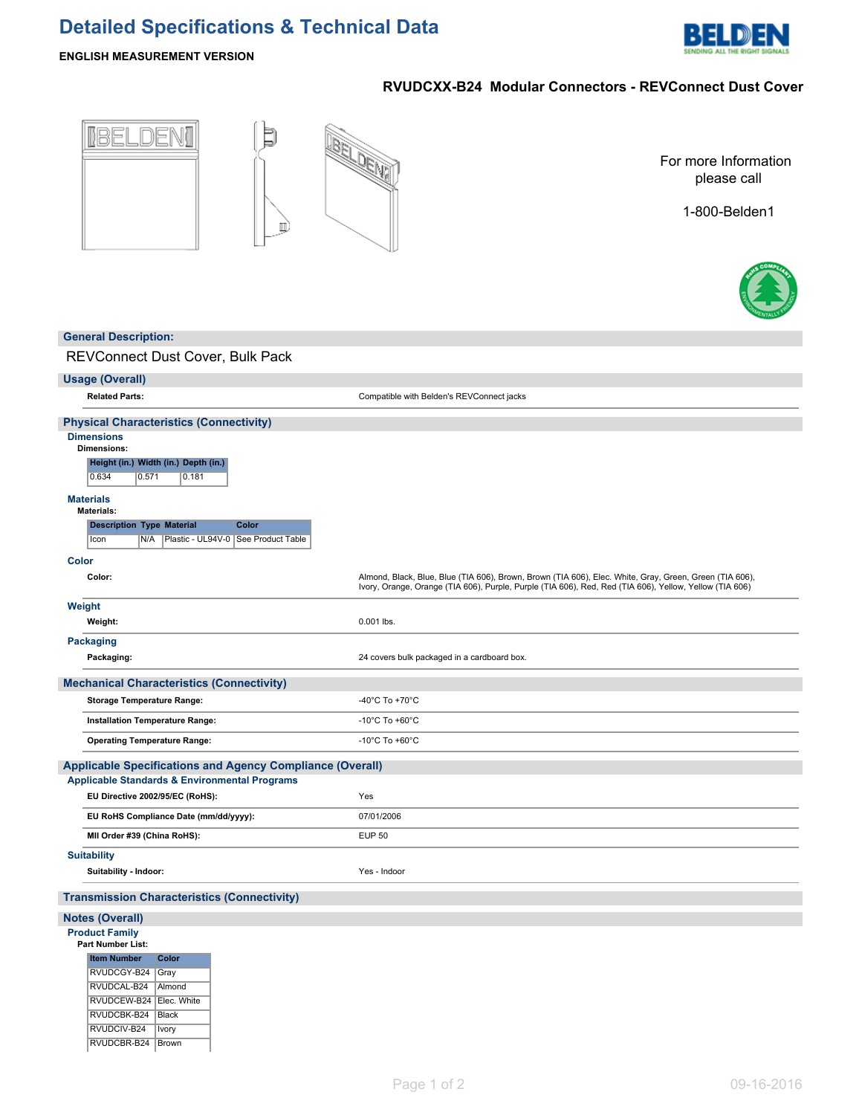# **Detailed Specifications & Technical Data**



### **ENGLISH MEASUREMENT VERSION**

## **RVUDCXX-B24 Modular Connectors - REVConnect Dust Cover**

| BELDENI                                                                                                                                                                                                                                                   | -DEW<br>For more Information<br>please call<br>1-800-Belden1                                                                                                                                                       |
|-----------------------------------------------------------------------------------------------------------------------------------------------------------------------------------------------------------------------------------------------------------|--------------------------------------------------------------------------------------------------------------------------------------------------------------------------------------------------------------------|
| <b>General Description:</b>                                                                                                                                                                                                                               |                                                                                                                                                                                                                    |
| REVConnect Dust Cover, Bulk Pack                                                                                                                                                                                                                          |                                                                                                                                                                                                                    |
| Usage (Overall)                                                                                                                                                                                                                                           |                                                                                                                                                                                                                    |
| <b>Related Parts:</b>                                                                                                                                                                                                                                     | Compatible with Belden's REVConnect jacks                                                                                                                                                                          |
| <b>Physical Characteristics (Connectivity)</b>                                                                                                                                                                                                            |                                                                                                                                                                                                                    |
| <b>Dimensions</b><br><b>Dimensions:</b><br>Height (in.) Width (in.) Depth (in.)<br>0.634<br>0.571<br> 0.181<br><b>Materials</b><br><b>Materials:</b><br><b>Description Type Material</b><br>Color<br>Plastic - UL94V-0   See Product Table<br>Icon<br>N/A |                                                                                                                                                                                                                    |
| Color                                                                                                                                                                                                                                                     |                                                                                                                                                                                                                    |
| Color:                                                                                                                                                                                                                                                    | Almond, Black, Blue, Blue (TIA 606), Brown, Brown (TIA 606), Elec. White, Gray, Green, Green (TIA 606),<br>Ivory, Orange, Orange (TIA 606), Purple, Purple (TIA 606), Red, Red (TIA 606), Yellow, Yellow (TIA 606) |
| Weight<br>Weight:                                                                                                                                                                                                                                         | 0.001 lbs.                                                                                                                                                                                                         |
| Packaging<br>Packaging:                                                                                                                                                                                                                                   | 24 covers bulk packaged in a cardboard box.                                                                                                                                                                        |
| <b>Mechanical Characteristics (Connectivity)</b>                                                                                                                                                                                                          |                                                                                                                                                                                                                    |
| <b>Storage Temperature Range:</b>                                                                                                                                                                                                                         | -40°C To +70°C                                                                                                                                                                                                     |
| Installation Temperature Range:                                                                                                                                                                                                                           | -10 $^{\circ}$ C To +60 $^{\circ}$ C                                                                                                                                                                               |
| <b>Operating Temperature Range:</b>                                                                                                                                                                                                                       | -10 $^{\circ}$ C To +60 $^{\circ}$ C                                                                                                                                                                               |
| <b>Applicable Specifications and Agency Compliance (Overall)</b><br><b>Applicable Standards &amp; Environmental Programs</b>                                                                                                                              |                                                                                                                                                                                                                    |
| EU Directive 2002/95/EC (RoHS):                                                                                                                                                                                                                           | Yes                                                                                                                                                                                                                |
| EU RoHS Compliance Date (mm/dd/yyyy):                                                                                                                                                                                                                     | 07/01/2006                                                                                                                                                                                                         |
| MII Order #39 (China RoHS):                                                                                                                                                                                                                               | <b>EUP 50</b>                                                                                                                                                                                                      |
| <b>Suitability</b><br>Suitability - Indoor:                                                                                                                                                                                                               | Yes - Indoor                                                                                                                                                                                                       |
| <b>Transmission Characteristics (Connectivity)</b>                                                                                                                                                                                                        |                                                                                                                                                                                                                    |
| <b>Notes (Overall)</b>                                                                                                                                                                                                                                    |                                                                                                                                                                                                                    |
| <b>Product Family</b><br>Part Number List:<br>Color<br><b>Item Number</b><br>RVUDCGY-B24 Gray<br>RVUDCAL-B24<br>Almond<br>RVUDCEW-B24   Elec. White<br>RVUDCBK-B24   Black<br>RVUDCIV-B24<br>Ivory                                                        |                                                                                                                                                                                                                    |